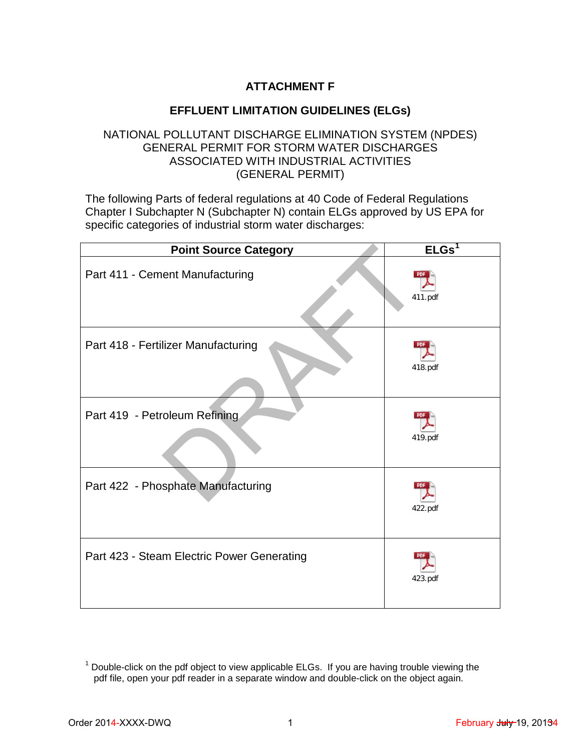## **ATTACHMENT F**

## **EFFLUENT LIMITATION GUIDELINES (ELGs)**

## NATIONAL POLLUTANT DISCHARGE ELIMINATION SYSTEM (NPDES) GENERAL PERMIT FOR STORM WATER DISCHARGES ASSOCIATED WITH INDUSTRIAL ACTIVITIES (GENERAL PERMIT)

The following Parts of federal regulations at 40 Code of Federal Regulations Chapter I Subchapter N (Subchapter N) contain ELGs approved by US EPA for specific categories of industrial storm water discharges:

| <b>Point Source Category</b>               | ELGs <sup>1</sup> |
|--------------------------------------------|-------------------|
| Part 411 - Cement Manufacturing            | 411.pdf           |
| Part 418 - Fertilizer Manufacturing        | 418.pdf           |
| Part 419 - Petroleum Refining              | 419.pdf           |
| Part 422 - Phosphate Manufacturing         | 422.pdf           |
| Part 423 - Steam Electric Power Generating | 423.pdf           |

<span id="page-0-0"></span> $1$  Double-click on the pdf object to view applicable ELGs. If you are having trouble viewing the pdf file, open your pdf reader in a separate window and double-click on the object again.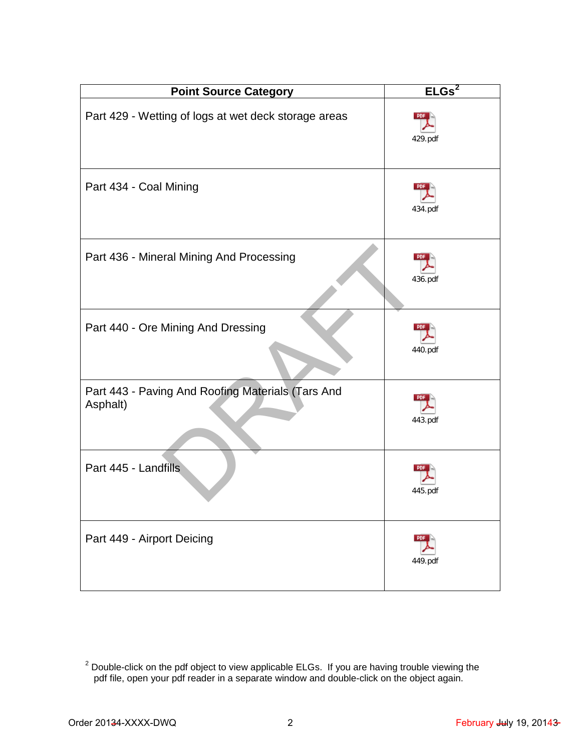| <b>Point Source Category</b>                                  | ELGs <sup>2</sup>     |
|---------------------------------------------------------------|-----------------------|
| Part 429 - Wetting of logs at wet deck storage areas          | 429.pdf               |
| Part 434 - Coal Mining                                        | 434.pdf               |
| Part 436 - Mineral Mining And Processing                      | 436.pdf               |
| Part 440 - Ore Mining And Dressing                            | 440.pdf               |
| Part 443 - Paving And Roofing Materials (Tars And<br>Asphalt) | 443.pdf               |
| Part 445 - Landfills                                          | 445.pdf               |
| Part 449 - Airport Deicing                                    | <b>PDF</b><br>449.pdf |

<span id="page-1-0"></span> $2$  Double-click on the pdf object to view applicable ELGs. If you are having trouble viewing the pdf file, open your pdf reader in a separate window and double-click on the object again.